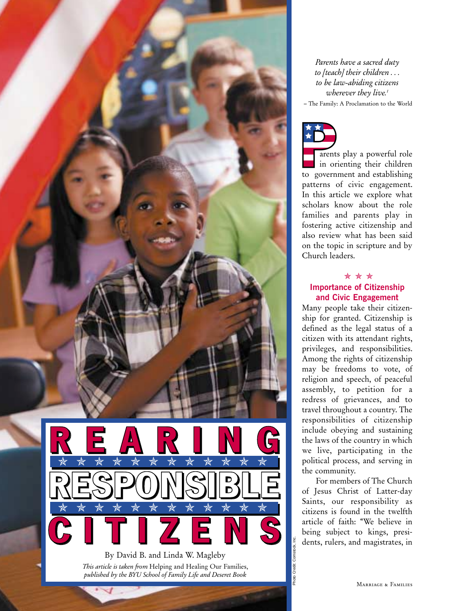

*Parents have a sacred duty to [teach] their children . . . to be law-abiding citizens wherever they live.1* – The Family: A Proclamation to the World



arents play a powerful role in orienting their children to government and establishing patterns of civic engagement. In this article we explore what scholars know about the role families and parents play in fostering active citizenship and also review what has been said on the topic in scripture and by Church leaders.

# ✯✯✯ **Importance of Citizenship and Civic Engagement**

Many people take their citizenship for granted. Citizenship is defined as the legal status of a citizen with its attendant rights, privileges, and responsibilities. Among the rights of citizenship may be freedoms to vote, of religion and speech, of peaceful assembly, to petition for a redress of grievances, and to travel throughout a country. The responsibilities of citizenship include obeying and sustaining the laws of the country in which we live, participating in the political process, and serving in the community.

For members of The Church of Jesus Christ of Latter-day Saints, our responsibility as citizens is found in the twelfth article of faith: "We believe in being subject to kings, presidents, rulers, and magistrates, in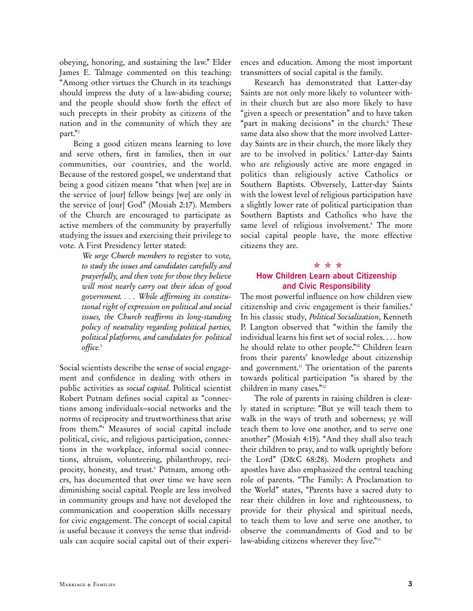obeying, honoring, and sustaining the law." Elder James E. Talmage commented on this teaching: "Among other virtues the Church in its teachings should impress the duty of a law-abiding course; and the people should show forth the effect of such precepts in their probity as citizens of the nation and in the community of which they are part."2

Being a good citizen means learning to love and serve others, first in families, then in our communities, our countries, and the world. Because of the restored gospel, we understand that being a good citizen means "that when [we] are in the service of [our] fellow beings [we] are only in the service of [our] God" (Mosiah 2:17). Members of the Church are encouraged to participate as active members of the community by prayerfully studying the issues and exercising their privilege to vote. A First Presidency letter stated:

> *We urge Church members to* register to vote*, to study the issues and candidates carefully and prayerfully, and then vote for those they believe will most nearly carry out their ideas of good government. . . . While affirming its constitutional right of expression on political and social issues, the Church reaffirms its long-standing policy of neutrality regarding political parties, political platforms, and candidates for political office.*<sup>3</sup>

Social scientists describe the sense of social engagement and confidence in dealing with others in public activities as *social capital*. Political scientist Robert Putnam defines social capital as "connections among individuals–social networks and the norms of reciprocity and trustworthiness that arise from them."4 Measures of social capital include political, civic, and religious participation, connections in the workplace, informal social connections, altruism, volunteering, philanthropy, reciprocity, honesty, and trust.<sup>5</sup> Putnam, among others, has documented that over time we have seen diminishing social capital. People are less involved in community groups and have not developed the communication and cooperation skills necessary for civic engagement. The concept of social capital is useful because it conveys the sense that individuals can acquire social capital out of their experiences and education. Among the most important transmitters of social capital is the family.

Research has demonstrated that Latter-day Saints are not only more likely to volunteer within their church but are also more likely to have "given a speech or presentation" and to have taken "part in making decisions" in the church.<sup>6</sup> These same data also show that the more involved Latterday Saints are in their church, the more likely they are to be involved in politics.<sup>7</sup> Latter-day Saints who are religiously active are more engaged in politics than religiously active Catholics or Southern Baptists. Obversely, Latter-day Saints with the lowest level of religious participation have a slightly lower rate of political participation than Southern Baptists and Catholics who have the same level of religious involvement.<sup>8</sup> The more social capital people have, the more effective citizens they are.

### ✯✯✯

# **How Children Learn about Citizenship and Civic Responsibility**

The most powerful influence on how children view citizenship and civic engagement is their families.<sup>9</sup> In his classic study, *Political Socialization*, Kenneth P. Langton observed that "within the family the individual learns his first set of social roles. . . . how he should relate to other people."10 Children learn from their parents' knowledge about citizenship and government.<sup>11</sup> The orientation of the parents towards political participation "is shared by the children in many cases."12

The role of parents in raising children is clearly stated in scripture: "But ye will teach them to walk in the ways of truth and soberness; ye will teach them to love one another, and to serve one another" (Mosiah 4:15). "And they shall also teach their children to pray, and to walk uprightly before the Lord" (D&C 68:28). Modern prophets and apostles have also emphasized the central teaching role of parents. "The Family: A Proclamation to the World" states, "Parents have a sacred duty to rear their children in love and righteousness, to provide for their physical and spiritual needs, to teach them to love and serve one another, to observe the commandments of God and to be law-abiding citizens wherever they live."<sup>13</sup>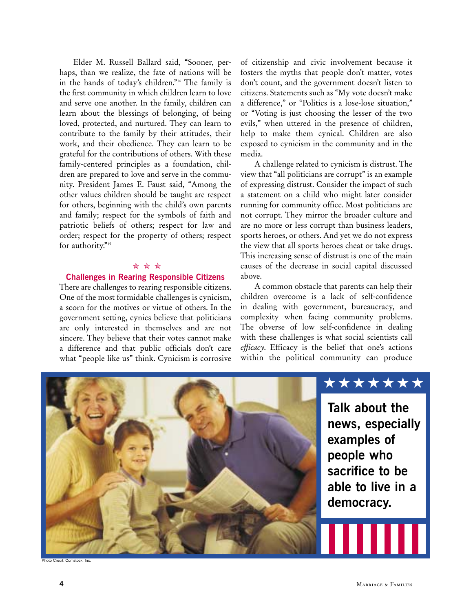Elder M. Russell Ballard said, "Sooner, perhaps, than we realize, the fate of nations will be in the hands of today's children."14 The family is the first community in which children learn to love and serve one another. In the family, children can learn about the blessings of belonging, of being loved, protected, and nurtured. They can learn to contribute to the family by their attitudes, their work, and their obedience. They can learn to be grateful for the contributions of others. With these family-centered principles as a foundation, children are prepared to love and serve in the community. President James E. Faust said, "Among the other values children should be taught are respect for others, beginning with the child's own parents and family; respect for the symbols of faith and patriotic beliefs of others; respect for law and order; respect for the property of others; respect for authority."<sup>15</sup>

### ✯✯✯

## **Challenges in Rearing Responsible Citizens**

There are challenges to rearing responsible citizens. One of the most formidable challenges is cynicism, a scorn for the motives or virtue of others. In the government setting, cynics believe that politicians are only interested in themselves and are not sincere. They believe that their votes cannot make a difference and that public officials don't care what "people like us" think. Cynicism is corrosive

of citizenship and civic involvement because it fosters the myths that people don't matter, votes don't count, and the government doesn't listen to citizens. Statements such as "My vote doesn't make a difference," or "Politics is a lose-lose situation," or "Voting is just choosing the lesser of the two evils," when uttered in the presence of children, help to make them cynical. Children are also exposed to cynicism in the community and in the media.

A challenge related to cynicism is distrust. The view that "all politicians are corrupt" is an example of expressing distrust. Consider the impact of such a statement on a child who might later consider running for community office. Most politicians are not corrupt. They mirror the broader culture and are no more or less corrupt than business leaders, sports heroes, or others. And yet we do not express the view that all sports heroes cheat or take drugs. This increasing sense of distrust is one of the main causes of the decrease in social capital discussed above.

A common obstacle that parents can help their children overcome is a lack of self-confidence in dealing with government, bureaucracy, and complexity when facing community problems. The obverse of low self-confidence in dealing with these challenges is what social scientists call *efficacy*. Efficacy is the belief that one's actions within the political community can produce



Photo Credit: Comstock, Inc.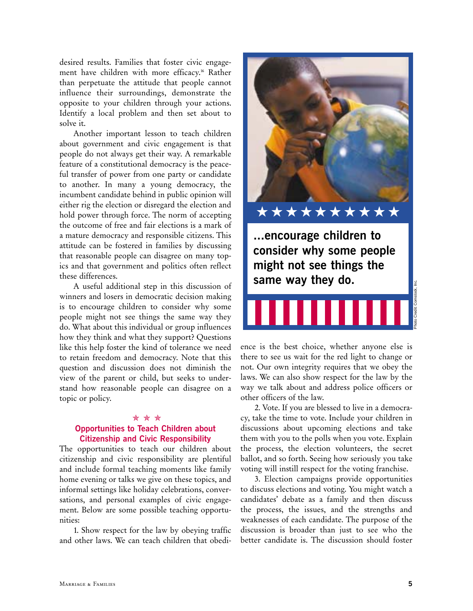desired results. Families that foster civic engagement have children with more efficacy.<sup>16</sup> Rather than perpetuate the attitude that people cannot influence their surroundings, demonstrate the opposite to your children through your actions. Identify a local problem and then set about to solve it.

Another important lesson to teach children about government and civic engagement is that people do not always get their way. A remarkable feature of a constitutional democracy is the peaceful transfer of power from one party or candidate to another. In many a young democracy, the incumbent candidate behind in public opinion will either rig the election or disregard the election and hold power through force. The norm of accepting the outcome of free and fair elections is a mark of a mature democracy and responsible citizens. This attitude can be fostered in families by discussing that reasonable people can disagree on many topics and that government and politics often reflect these differences.

A useful additional step in this discussion of winners and losers in democratic decision making is to encourage children to consider why some people might not see things the same way they do. What about this individual or group influences how they think and what they support? Questions like this help foster the kind of tolerance we need to retain freedom and democracy. Note that this question and discussion does not diminish the view of the parent or child, but seeks to understand how reasonable people can disagree on a topic or policy.

### ✯✯✯

# **Opportunities to Teach Children about Citizenship and Civic Responsibility**

The opportunities to teach our children about citizenship and civic responsibility are plentiful and include formal teaching moments like family home evening or talks we give on these topics, and informal settings like holiday celebrations, conversations, and personal examples of civic engagement. Below are some possible teaching opportunities:

1. Show respect for the law by obeying traffic and other laws. We can teach children that obedi-



**...encourage children to consider why some people might not see things the same way they do.** 

ence is the best choice, whether anyone else is there to see us wait for the red light to change or not. Our own integrity requires that we obey the laws. We can also show respect for the law by the way we talk about and address police officers or other officers of the law.

2. Vote. If you are blessed to live in a democracy, take the time to vote. Include your children in discussions about upcoming elections and take them with you to the polls when you vote. Explain the process, the election volunteers, the secret ballot, and so forth. Seeing how seriously you take voting will instill respect for the voting franchise.

3. Election campaigns provide opportunities to discuss elections and voting. You might watch a candidates' debate as a family and then discuss the process, the issues, and the strengths and weaknesses of each candidate. The purpose of the discussion is broader than just to see who the better candidate is. The discussion should foster

Photo Credit: Comstock, Inc.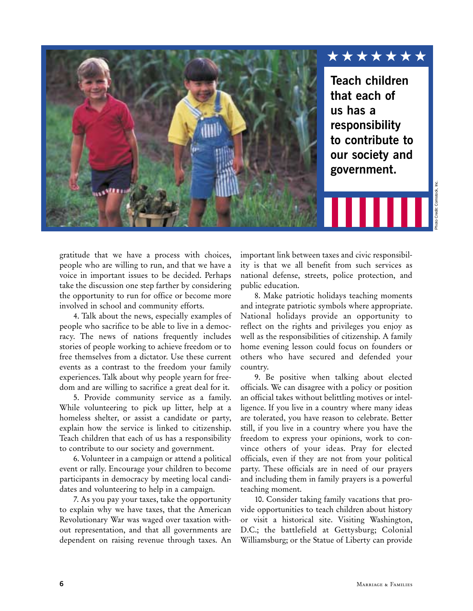

gratitude that we have a process with choices, people who are willing to run, and that we have a voice in important issues to be decided. Perhaps take the discussion one step farther by considering the opportunity to run for office or become more involved in school and community efforts.

4. Talk about the news, especially examples of people who sacrifice to be able to live in a democracy. The news of nations frequently includes stories of people working to achieve freedom or to free themselves from a dictator. Use these current events as a contrast to the freedom your family experiences. Talk about why people yearn for freedom and are willing to sacrifice a great deal for it.

5. Provide community service as a family. While volunteering to pick up litter, help at a homeless shelter, or assist a candidate or party, explain how the service is linked to citizenship. Teach children that each of us has a responsibility to contribute to our society and government.

6. Volunteer in a campaign or attend a political event or rally. Encourage your children to become participants in democracy by meeting local candidates and volunteering to help in a campaign.

7. As you pay your taxes, take the opportunity to explain why we have taxes, that the American Revolutionary War was waged over taxation without representation, and that all governments are dependent on raising revenue through taxes. An

important link between taxes and civic responsibility is that we all benefit from such services as national defense, streets, police protection, and public education.

8. Make patriotic holidays teaching moments and integrate patriotic symbols where appropriate. National holidays provide an opportunity to reflect on the rights and privileges you enjoy as well as the responsibilities of citizenship. A family home evening lesson could focus on founders or others who have secured and defended your country.

9. Be positive when talking about elected officials. We can disagree with a policy or position an official takes without belittling motives or intelligence. If you live in a country where many ideas are tolerated, you have reason to celebrate. Better still, if you live in a country where you have the freedom to express your opinions, work to convince others of your ideas. Pray for elected officials, even if they are not from your political party. These officials are in need of our prayers and including them in family prayers is a powerful teaching moment.

10. Consider taking family vacations that provide opportunities to teach children about history or visit a historical site. Visiting Washington, D.C.; the battlefield at Gettysburg; Colonial Williamsburg; or the Statue of Liberty can provide